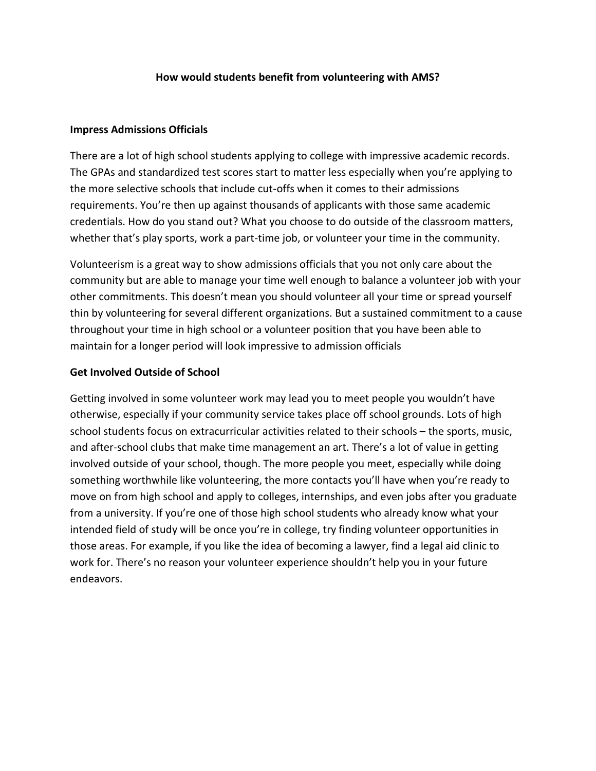## **How would students benefit from volunteering with AMS?**

## **Impress Admissions Officials**

There are a lot of high school students applying to college with impressive academic records. The GPAs and standardized test scores start to matter less especially when you're applying to the more selective schools that include cut-offs when it comes to their admissions requirements. You're then up against thousands of applicants with those same academic credentials. How do you stand out? What you choose to do outside of the classroom matters, whether that's play sports, work a part-time job, or volunteer your time in the community.

Volunteerism is a great way to show admissions officials that you not only care about the community but are able to manage your time well enough to balance a volunteer job with your other commitments. This doesn't mean you should volunteer all your time or spread yourself thin by volunteering for several different organizations. But a sustained commitment to a cause throughout your time in high school or a volunteer position that you have been able to maintain for a longer period will look impressive to admission officials

## **Get Involved Outside of School**

Getting involved in some volunteer work may lead you to meet people you wouldn't have otherwise, especially if your community service takes place off school grounds. Lots of high school students focus on extracurricular activities related to their schools – the sports, music, and after-school clubs that make time management an art. There's a lot of value in getting involved outside of your school, though. The more people you meet, especially while doing something worthwhile like volunteering, the more contacts you'll have when you're ready to move on from high school and apply to colleges, internships, and even jobs after you graduate from a university. If you're one of those high school students who already know what your intended field of study will be once you're in college, try finding volunteer opportunities in those areas. For example, if you like the idea of becoming a lawyer, find a legal aid clinic to work for. There's no reason your volunteer experience shouldn't help you in your future endeavors.